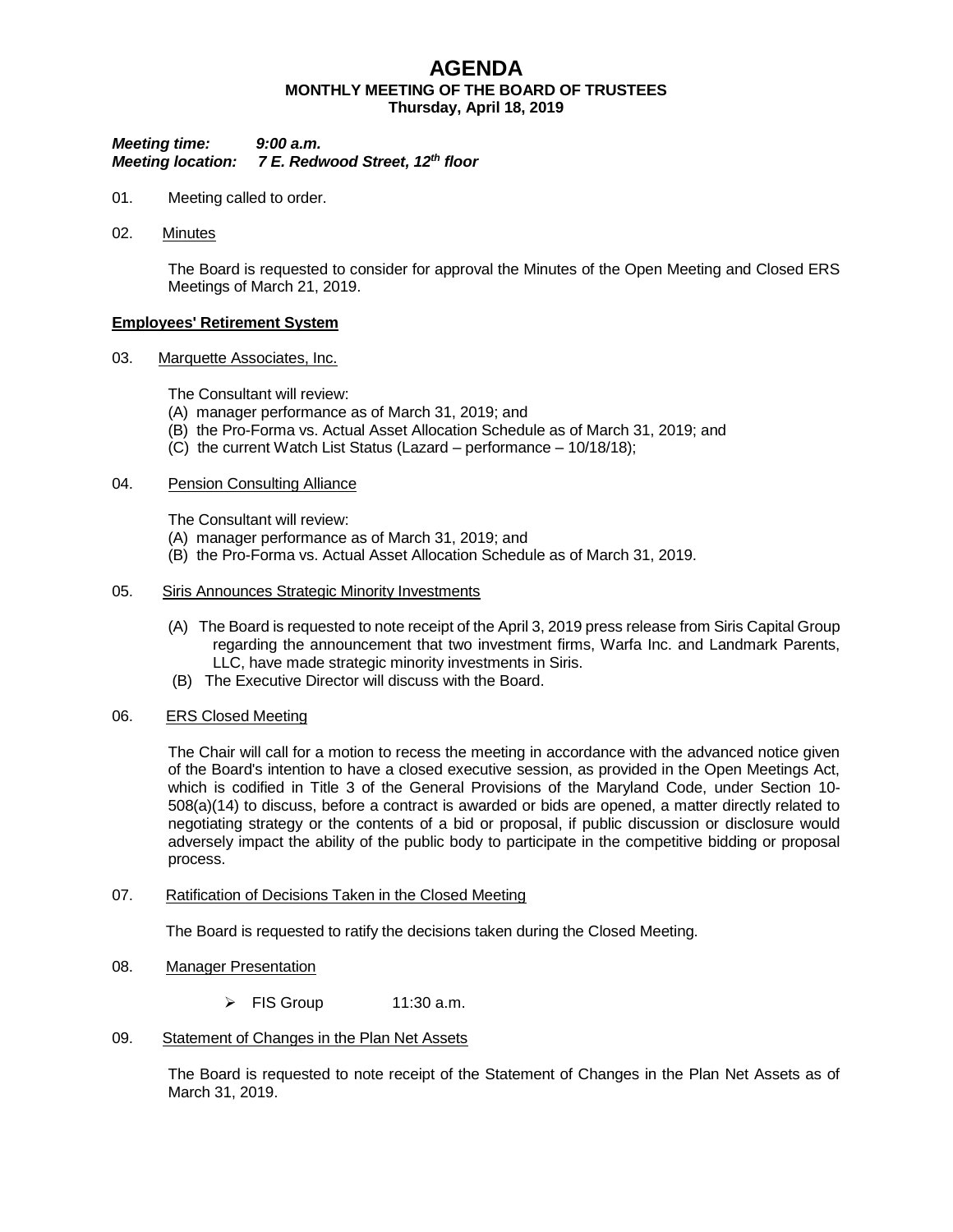# **AGENDA MONTHLY MEETING OF THE BOARD OF TRUSTEES Thursday, April 18, 2019**

# *Meeting time: 9:00 a.m. Meeting location: 7 E. Redwood Street, 12th floor*

- 01. Meeting called to order.
- 02. Minutes

The Board is requested to consider for approval the Minutes of the Open Meeting and Closed ERS Meetings of March 21, 2019.

# **Employees' Retirement System**

03. Marquette Associates, Inc.

The Consultant will review:

- (A) manager performance as of March 31, 2019; and
- (B) the Pro-Forma vs. Actual Asset Allocation Schedule as of March 31, 2019; and
- (C) the current Watch List Status (Lazard performance 10/18/18);

# 04. Pension Consulting Alliance

The Consultant will review:

- (A) manager performance as of March 31, 2019; and
- (B) the Pro-Forma vs. Actual Asset Allocation Schedule as of March 31, 2019.

## 05. Siris Announces Strategic Minority Investments

- (A) The Board is requested to note receipt of the April 3, 2019 press release from Siris Capital Group regarding the announcement that two investment firms, Warfa Inc. and Landmark Parents, LLC, have made strategic minority investments in Siris.
- (B) The Executive Director will discuss with the Board.
- 06. ERS Closed Meeting

The Chair will call for a motion to recess the meeting in accordance with the advanced notice given of the Board's intention to have a closed executive session, as provided in the Open Meetings Act, which is codified in Title 3 of the General Provisions of the Maryland Code, under Section 10- 508(a)(14) to discuss, before a contract is awarded or bids are opened, a matter directly related to negotiating strategy or the contents of a bid or proposal, if public discussion or disclosure would adversely impact the ability of the public body to participate in the competitive bidding or proposal process.

### 07. Ratification of Decisions Taken in the Closed Meeting

The Board is requested to ratify the decisions taken during the Closed Meeting.

- 08. Manager Presentation
	- $\triangleright$  FIS Group 11:30 a.m.
- 09. Statement of Changes in the Plan Net Assets

The Board is requested to note receipt of the Statement of Changes in the Plan Net Assets as of March 31, 2019.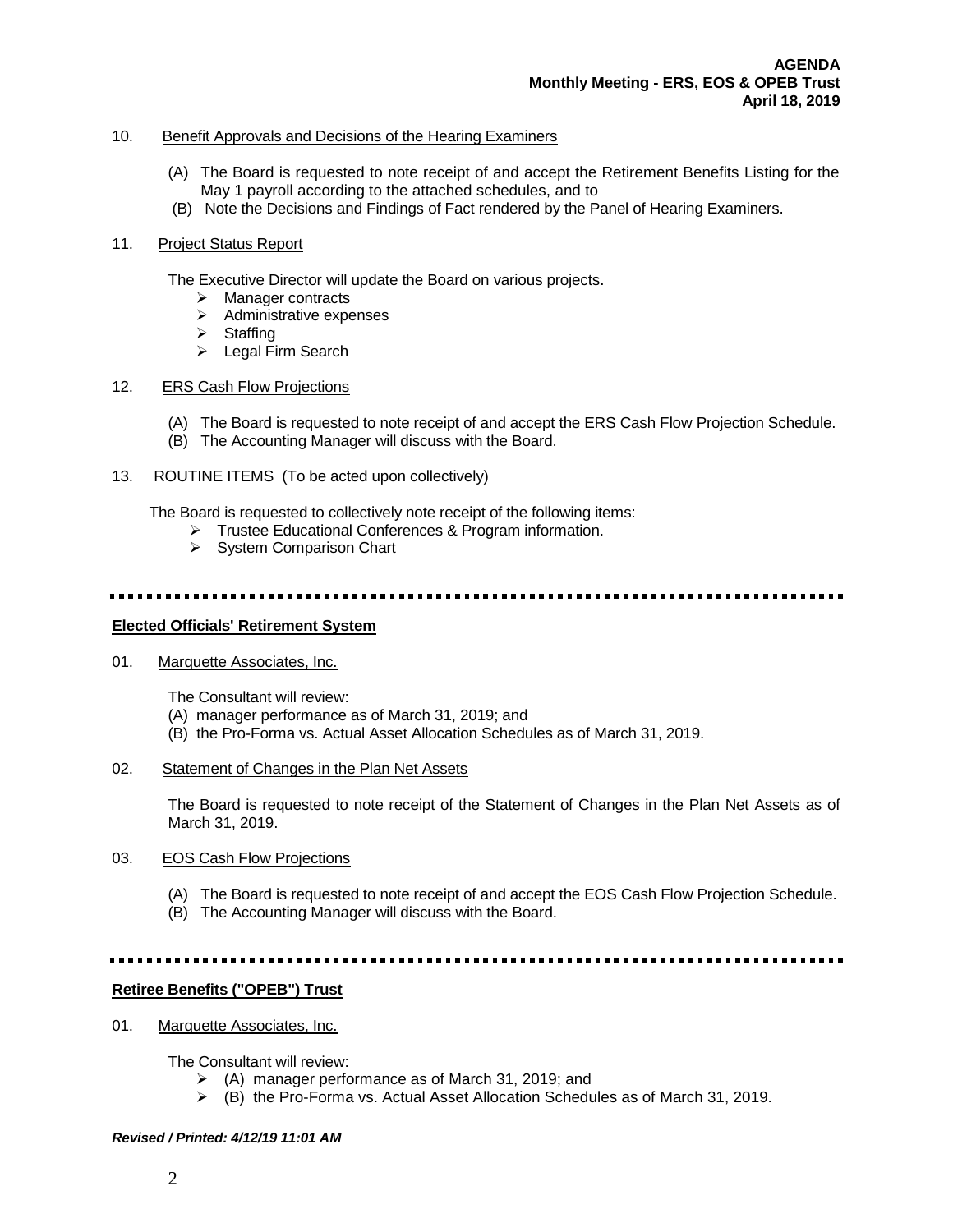# 10. Benefit Approvals and Decisions of the Hearing Examiners

- (A) The Board is requested to note receipt of and accept the Retirement Benefits Listing for the May 1 payroll according to the attached schedules, and to
- (B) Note the Decisions and Findings of Fact rendered by the Panel of Hearing Examiners.

# 11. Project Status Report

The Executive Director will update the Board on various projects.

- > Manager contracts
- $\triangleright$  Administrative expenses
- $\triangleright$  Staffing
- > Legal Firm Search

# 12. ERS Cash Flow Projections

- (A) The Board is requested to note receipt of and accept the ERS Cash Flow Projection Schedule.
- (B) The Accounting Manager will discuss with the Board.
- 13. ROUTINE ITEMS (To be acted upon collectively)

The Board is requested to collectively note receipt of the following items:

- > Trustee Educational Conferences & Program information.
- $\triangleright$  System Comparison Chart

### 

# **Elected Officials' Retirement System**

01. Marquette Associates, Inc.

The Consultant will review:

- (A) manager performance as of March 31, 2019; and
- (B) the Pro-Forma vs. Actual Asset Allocation Schedules as of March 31, 2019.
- 02. Statement of Changes in the Plan Net Assets

The Board is requested to note receipt of the Statement of Changes in the Plan Net Assets as of March 31, 2019.

- 03. EOS Cash Flow Projections
	- (A) The Board is requested to note receipt of and accept the EOS Cash Flow Projection Schedule.
	- (B) The Accounting Manager will discuss with the Board.

### 

### **Retiree Benefits ("OPEB") Trust**

01. Marquette Associates, Inc.

The Consultant will review:

- $\triangleright$  (A) manager performance as of March 31, 2019; and
- $\triangleright$  (B) the Pro-Forma vs. Actual Asset Allocation Schedules as of March 31, 2019.

### *Revised / Printed: 4/12/19 11:01 AM*